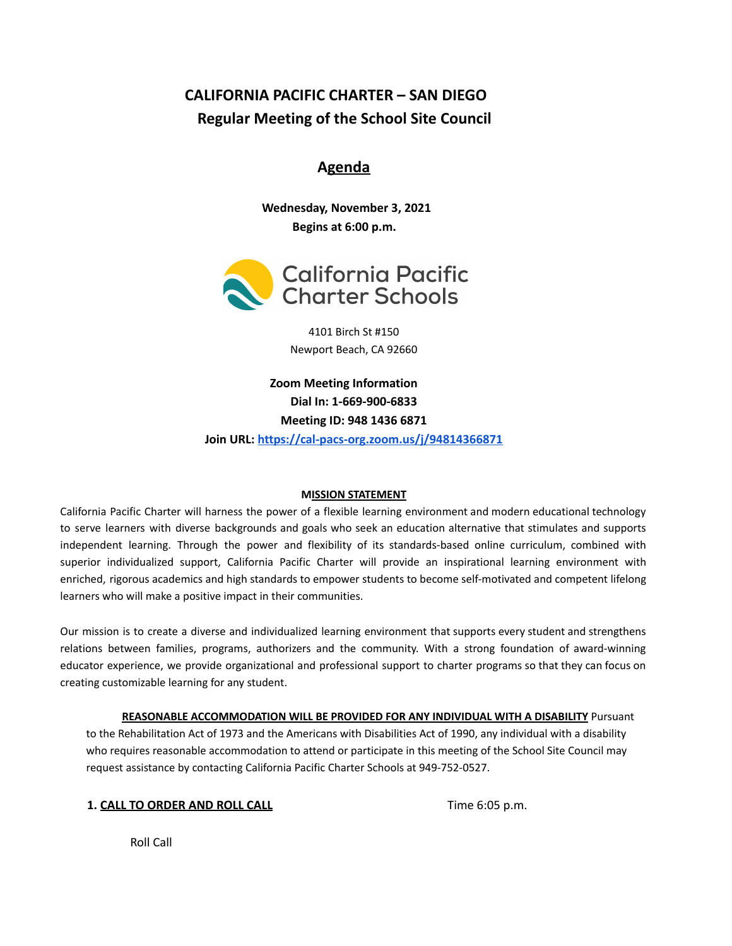# **CALIFORNIA PACIFIC CHARTER – SAN DIEGO Regular Meeting of the School Site Council**

# **Agenda**

**Wednesday, November 3, 2021 Begins at 6:00 p.m.**



4101 Birch St #150 Newport Beach, CA 92660

**Zoom Meeting Information Dial In: 1-669-900-6833 Meeting ID: 948 1436 6871 Join URL: <https://cal-pacs-org.zoom.us/j/94814366871>**

# **MISSION STATEMENT**

California Pacific Charter will harness the power of a flexible learning environment and modern educational technology to serve learners with diverse backgrounds and goals who seek an education alternative that stimulates and supports independent learning. Through the power and flexibility of its standards-based online curriculum, combined with superior individualized support, California Pacific Charter will provide an inspirational learning environment with enriched, rigorous academics and high standards to empower students to become self-motivated and competent lifelong learners who will make a positive impact in their communities.

Our mission is to create a diverse and individualized learning environment that supports every student and strengthens relations between families, programs, authorizers and the community. With a strong foundation of award-winning educator experience, we provide organizational and professional support to charter programs so that they can focus on creating customizable learning for any student.

**REASONABLE ACCOMMODATION WILL BE PROVIDED FOR ANY INDIVIDUAL WITH A DISABILITY** Pursuant to the Rehabilitation Act of 1973 and the Americans with Disabilities Act of 1990, any individual with a disability who requires reasonable accommodation to attend or participate in this meeting of the School Site Council may request assistance by contacting California Pacific Charter Schools at 949-752-0527.

|  | 1. CALL TO ORDER AND ROLL CALL |  |  |
|--|--------------------------------|--|--|

**1. 1. CALC CALC CALC CALC CALC CALC CALC CALC CALC CALC CALC CALC CALC CALC CALC CALC CALC CALC CALC CALC CALC CALC CALC** 

Roll Call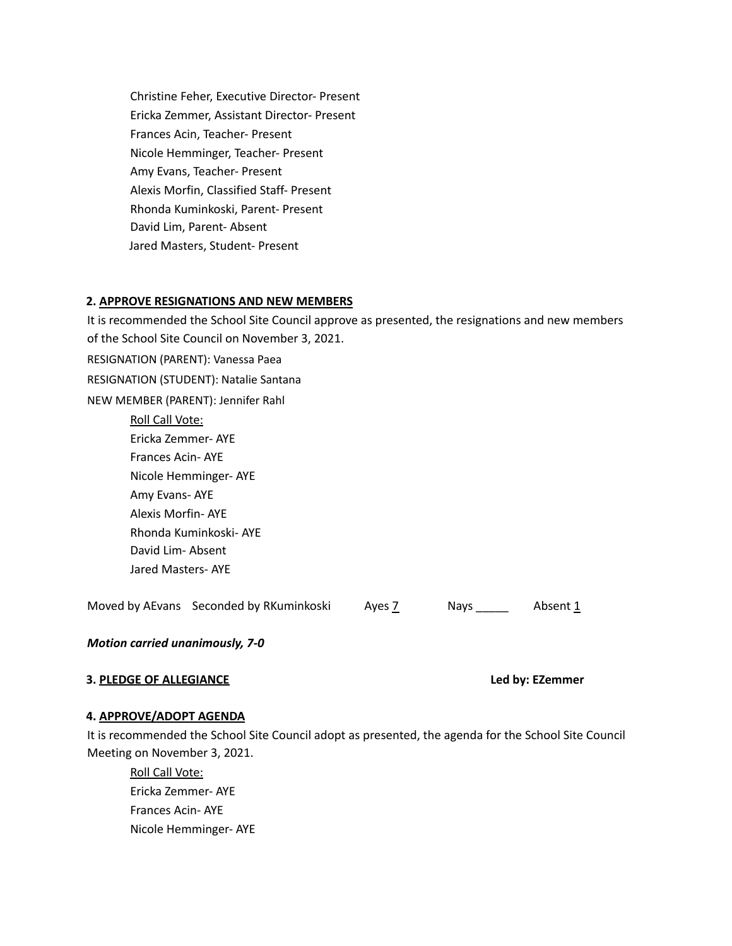Christine Feher, Executive Director- Present Ericka Zemmer, Assistant Director- Present Frances Acin, Teacher- Present Nicole Hemminger, Teacher- Present Amy Evans, Teacher- Present Alexis Morfin, Classified Staff- Present Rhonda Kuminkoski, Parent- Present David Lim, Parent- Absent Jared Masters, Student- Present

#### **2. APPROVE RESIGNATIONS AND NEW MEMBERS**

It is recommended the School Site Council approve as presented, the resignations and new members of the School Site Council on November 3, 2021. RESIGNATION (PARENT): Vanessa Paea RESIGNATION (STUDENT): Natalie Santana NEW MEMBER (PARENT): Jennifer Rahl Roll Call Vote: Ericka Zemmer- AYE Frances Acin- AYE Nicole Hemminger- AYE Amy Evans- AYE Alexis Morfin- AYE Rhonda Kuminkoski- AYE David Lim- Absent Jared Masters- AYE

Moved by AEvans Seconded by RKuminkoski Ayes  $\frac{7}{2}$  Nays \_\_\_\_\_ Absent  $\frac{1}{2}$ 

*Motion carried unanimously, 7-0*

# **3. PLEDGE OF ALLEGIANCE Led by: EZemmer**

# **4. APPROVE/ADOPT AGENDA**

It is recommended the School Site Council adopt as presented, the agenda for the School Site Council Meeting on November 3, 2021.

Roll Call Vote: Ericka Zemmer- AYE Frances Acin- AYE Nicole Hemminger- AYE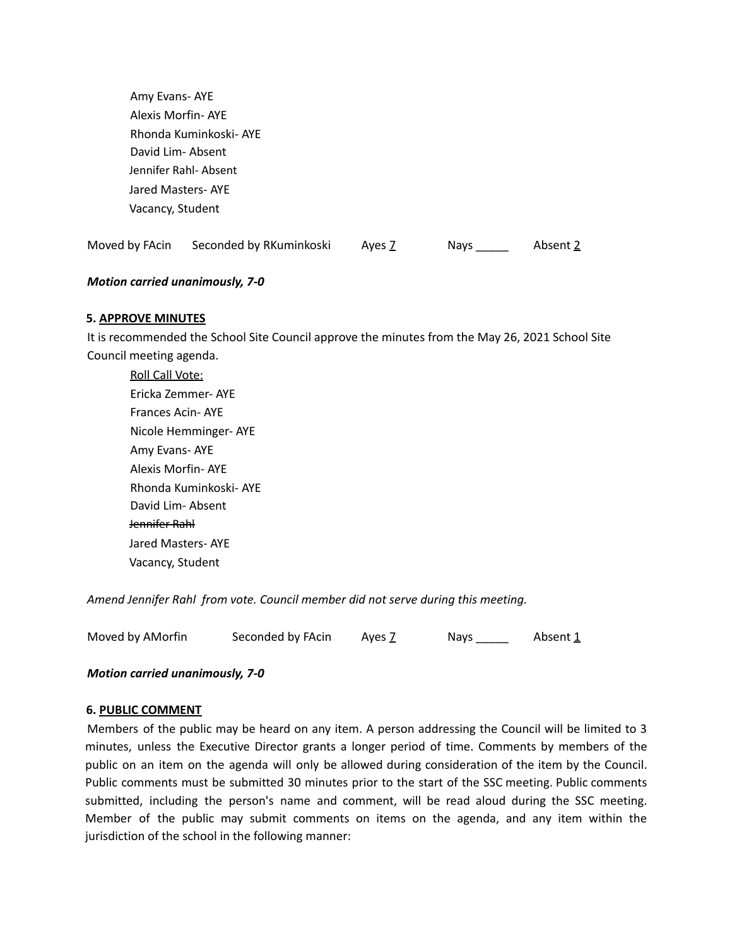Amy Evans- AYE Alexis Morfin- AYE Rhonda Kuminkoski- AYE David Lim- Absent Jennifer Rahl- Absent Jared Masters- AYE Vacancy, Student

Moved by FAcin Seconded by RKuminkoski Ayes Z Nays \_\_\_\_\_ Absent 2

#### *Motion carried unanimously, 7-0*

#### **5. APPROVE MINUTES**

It is recommended the School Site Council approve the minutes from the May 26, 2021 School Site Council meeting agenda.

Roll Call Vote: Ericka Zemmer- AYE Frances Acin- AYE Nicole Hemminger- AYE Amy Evans- AYE Alexis Morfin- AYE Rhonda Kuminkoski- AYE David Lim- Absent Jennifer Rahl Jared Masters- AYE Vacancy, Student

*Amend Jennifer Rahl from vote. Council member did not serve during this meeting.*

| Moved by AMorfin | Seconded by FAcin | Ayes Z | <b>Nays</b> | Absent 1 |
|------------------|-------------------|--------|-------------|----------|
|                  |                   |        |             |          |

#### *Motion carried unanimously, 7-0*

#### **6. PUBLIC COMMENT**

Members of the public may be heard on any item. A person addressing the Council will be limited to 3 minutes, unless the Executive Director grants a longer period of time. Comments by members of the public on an item on the agenda will only be allowed during consideration of the item by the Council. Public comments must be submitted 30 minutes prior to the start of the SSC meeting. Public comments submitted, including the person's name and comment, will be read aloud during the SSC meeting. Member of the public may submit comments on items on the agenda, and any item within the jurisdiction of the school in the following manner: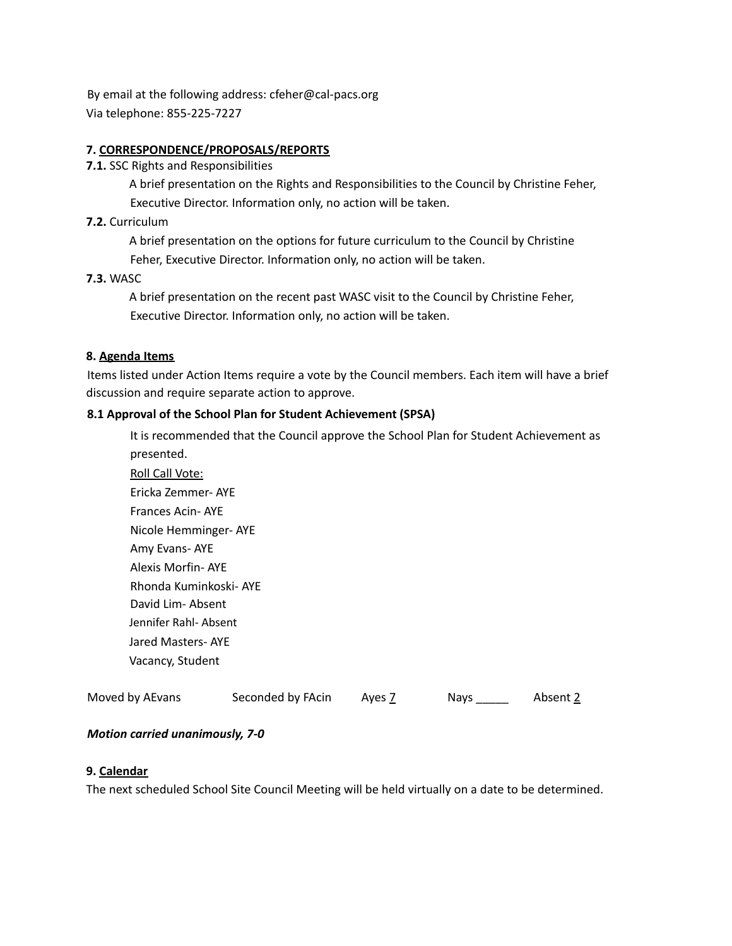By email at the following address: cfeher@cal-pacs.org Via telephone: 855-225-7227

# **7. CORRESPONDENCE/PROPOSALS/REPORTS**

**7.1.** SSC Rights and Responsibilities

A brief presentation on the Rights and Responsibilities to the Council by Christine Feher, Executive Director. Information only, no action will be taken.

#### **7.2.** Curriculum

A brief presentation on the options for future curriculum to the Council by Christine Feher, Executive Director. Information only, no action will be taken.

#### **7.3.** WASC

A brief presentation on the recent past WASC visit to the Council by Christine Feher, Executive Director. Information only, no action will be taken.

#### **8. Agenda Items**

Items listed under Action Items require a vote by the Council members. Each item will have a brief discussion and require separate action to approve.

# **8.1 Approval of the School Plan for Student Achievement (SPSA)**

It is recommended that the Council approve the School Plan for Student Achievement as presented.

Roll Call Vote: Ericka Zemmer- AYE Frances Acin- AYE Nicole Hemminger- AYE Amy Evans- AYE Alexis Morfin- AYE Rhonda Kuminkoski- AYE David Lim- Absent Jennifer Rahl- Absent Jared Masters- AYE Vacancy, Student

| Moved by AEvans | Seconded by FAcin |        |             |          |
|-----------------|-------------------|--------|-------------|----------|
|                 |                   | Ayes Z | <b>Nays</b> | Absent 2 |

# *Motion carried unanimously, 7-0*

#### **9. Calendar**

The next scheduled School Site Council Meeting will be held virtually on a date to be determined.